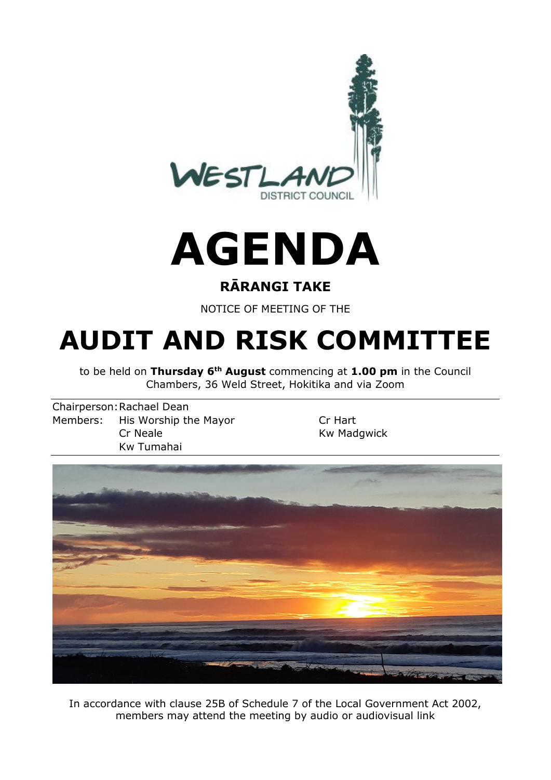

# **AGENDA**

## **RĀRANGI TAKE**

NOTICE OF MEETING OF THE

## **AUDIT AND RISK COMMITTEE**

to be held on **Thursday 6th August** commencing at **1.00 pm** in the Council Chambers, 36 Weld Street, Hokitika and via Zoom

Chairperson: Rachael Dean Members: His Worship the Mayor Cr Hart Cr Neale **Kw** Madgwick Kw Tumahai



In accordance with clause 25B of Schedule 7 of the Local Government Act 2002, members may attend the meeting by audio or audiovisual link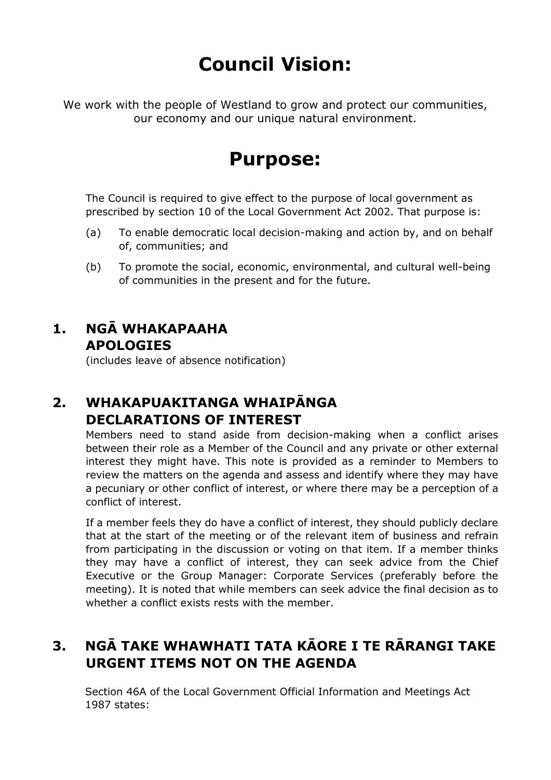## **Council Vision:**

We work with the people of Westland to grow and protect our communities, our economy and our unique natural environment.

## **Purpose:**

The Council is required to give effect to the purpose of local government as prescribed by section 10 of the Local Government Act 2002. That purpose is:

- (a) To enable democratic local decision-making and action by, and on behalf of, communities; and
- (b) To promote the social, economic, environmental, and cultural well-being of communities in the present and for the future.

## **1. NGĀ WHAKAPAAHA APOLOGIES**

(includes leave of absence notification)

## **2. WHAKAPUAKITANGA WHAIPĀNGA DECLARATIONS OF INTEREST**

Members need to stand aside from decision-making when a conflict arises between their role as a Member of the Council and any private or other external interest they might have. This note is provided as a reminder to Members to review the matters on the agenda and assess and identify where they may have a pecuniary or other conflict of interest, or where there may be a perception of a conflict of interest.

If a member feels they do have a conflict of interest, they should publicly declare that at the start of the meeting or of the relevant item of business and refrain from participating in the discussion or voting on that item. If a member thinks they may have a conflict of interest, they can seek advice from the Chief Executive or the Group Manager: Corporate Services (preferably before the meeting). It is noted that while members can seek advice the final decision as to whether a conflict exists rests with the member.

## **3. NGĀ TAKE WHAWHATI TATA KĀORE I TE RĀRANGI TAKE URGENT ITEMS NOT ON THE AGENDA**

Section 46A of the Local Government Official Information and Meetings Act 1987 states: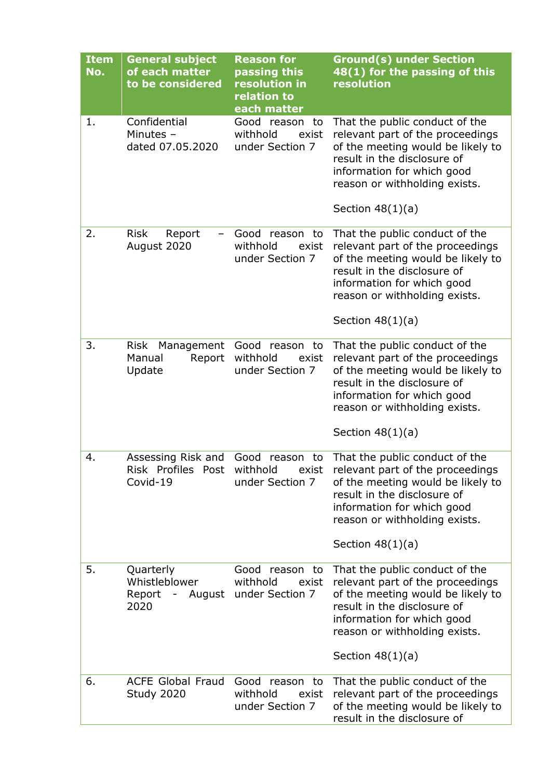| <b>Item</b><br>No. | <b>General subject</b><br>of each matter<br>to be considered | <b>Reason for</b><br>passing this<br>resolution in<br>relation to<br>each matter | <b>Ground(s) under Section</b><br>48(1) for the passing of this<br>resolution                                                                                                                                               |
|--------------------|--------------------------------------------------------------|----------------------------------------------------------------------------------|-----------------------------------------------------------------------------------------------------------------------------------------------------------------------------------------------------------------------------|
| 1.                 | Confidential<br>Minutes $-$<br>dated 07.05.2020              | Good reason<br>to<br>withhold<br>exist<br>under Section 7                        | That the public conduct of the<br>relevant part of the proceedings<br>of the meeting would be likely to<br>result in the disclosure of<br>information for which good<br>reason or withholding exists.<br>Section $48(1)(a)$ |
| 2.                 | <b>Risk</b><br>Report<br>August 2020                         | Good<br>reason to<br>withhold<br>exist<br>under Section 7                        | That the public conduct of the<br>relevant part of the proceedings<br>of the meeting would be likely to<br>result in the disclosure of<br>information for which good<br>reason or withholding exists.<br>Section $48(1)(a)$ |
| 3.                 | <b>Risk</b><br>Management<br>Manual<br>Report<br>Update      | Good<br>reason to<br>withhold<br>exist<br>under Section 7                        | That the public conduct of the<br>relevant part of the proceedings<br>of the meeting would be likely to<br>result in the disclosure of<br>information for which good<br>reason or withholding exists.<br>Section $48(1)(a)$ |
| 4.                 | Assessing Risk and<br>Risk Profiles Post<br>Covid-19         | Good<br>reason<br>to<br>withhold<br>exist<br>under Section 7                     | That the public conduct of the<br>relevant part of the proceedings<br>of the meeting would be likely to<br>result in the disclosure of<br>information for which good<br>reason or withholding exists.<br>Section $48(1)(a)$ |
| 5.                 | Quarterly<br>Whistleblower<br>Report -<br>August<br>2020     | Good<br>reason to<br>withhold<br>exist<br>under Section 7                        | That the public conduct of the<br>relevant part of the proceedings<br>of the meeting would be likely to<br>result in the disclosure of<br>information for which good<br>reason or withholding exists.<br>Section $48(1)(a)$ |
| 6.                 | <b>ACFE Global Fraud</b><br>Study 2020                       | Good<br>reason<br>to<br>withhold<br>exist<br>under Section 7                     | That the public conduct of the<br>relevant part of the proceedings<br>of the meeting would be likely to<br>result in the disclosure of                                                                                      |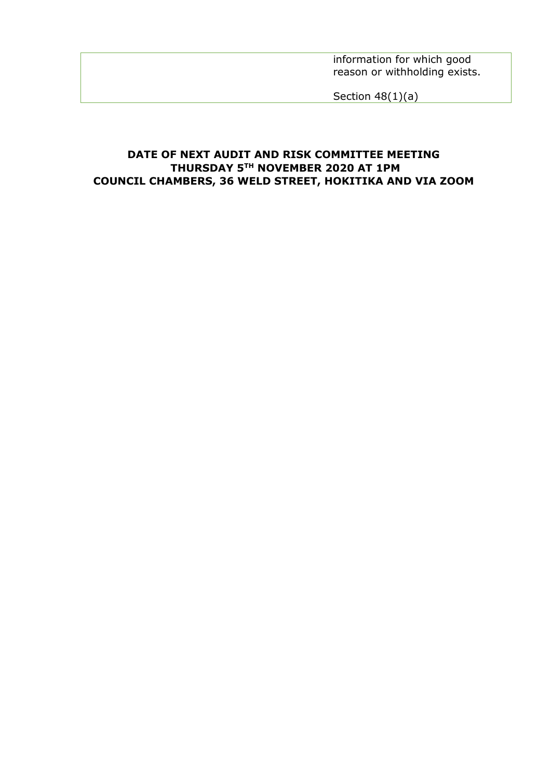information for which good reason or withholding exists.

Section 48(1)(a)

#### **DATE OF NEXT AUDIT AND RISK COMMITTEE MEETING THURSDAY 5TH NOVEMBER 2020 AT 1PM COUNCIL CHAMBERS, 36 WELD STREET, HOKITIKA AND VIA ZOOM**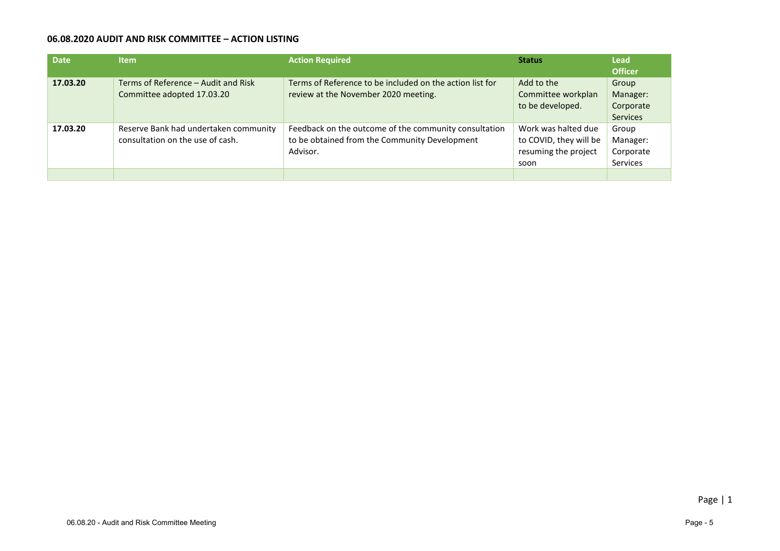#### **06.08.2020 AUDIT AND RISK COMMITTEE – ACTION LISTING**

| <b>Date</b> | <b>Item</b>                                                               | <b>Action Required</b>                                                                                             | <b>Status</b>                                                                 | <b>Lead</b><br><b>Officer</b>                     |
|-------------|---------------------------------------------------------------------------|--------------------------------------------------------------------------------------------------------------------|-------------------------------------------------------------------------------|---------------------------------------------------|
| 17.03.20    | Terms of Reference - Audit and Risk<br>Committee adopted 17.03.20         | Terms of Reference to be included on the action list for<br>review at the November 2020 meeting.                   | Add to the<br>Committee workplan<br>to be developed.                          | Group<br>Manager:<br>Corporate<br><b>Services</b> |
| 17.03.20    | Reserve Bank had undertaken community<br>consultation on the use of cash. | Feedback on the outcome of the community consultation<br>to be obtained from the Community Development<br>Advisor. | Work was halted due<br>to COVID, they will be<br>resuming the project<br>soon | Group<br>Manager:<br>Corporate<br><b>Services</b> |
|             |                                                                           |                                                                                                                    |                                                                               |                                                   |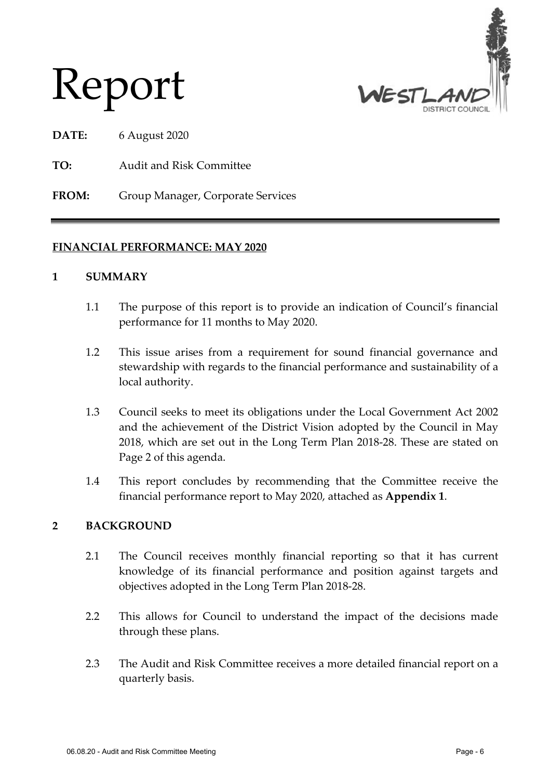

# Report

**DATE:** 6 August 2020

**TO:** Audit and Risk Committee

**FROM:** Group Manager, Corporate Services

#### **FINANCIAL PERFORMANCE: MAY 2020**

#### **1 SUMMARY**

- 1.1 The purpose of this report is to provide an indication of Council's financial performance for 11 months to May 2020.
- 1.2 This issue arises from a requirement for sound financial governance and stewardship with regards to the financial performance and sustainability of a local authority.
- 1.3 Council seeks to meet its obligations under the Local Government Act 2002 and the achievement of the District Vision adopted by the Council in May 2018, which are set out in the Long Term Plan 2018-28. These are stated on Page 2 of this agenda.
- 1.4 This report concludes by recommending that the Committee receive the financial performance report to May 2020, attached as **Appendix 1**.

#### **2 BACKGROUND**

- 2.1 The Council receives monthly financial reporting so that it has current knowledge of its financial performance and position against targets and objectives adopted in the Long Term Plan 2018-28.
- 2.2 This allows for Council to understand the impact of the decisions made through these plans.
- 2.3 The Audit and Risk Committee receives a more detailed financial report on a quarterly basis.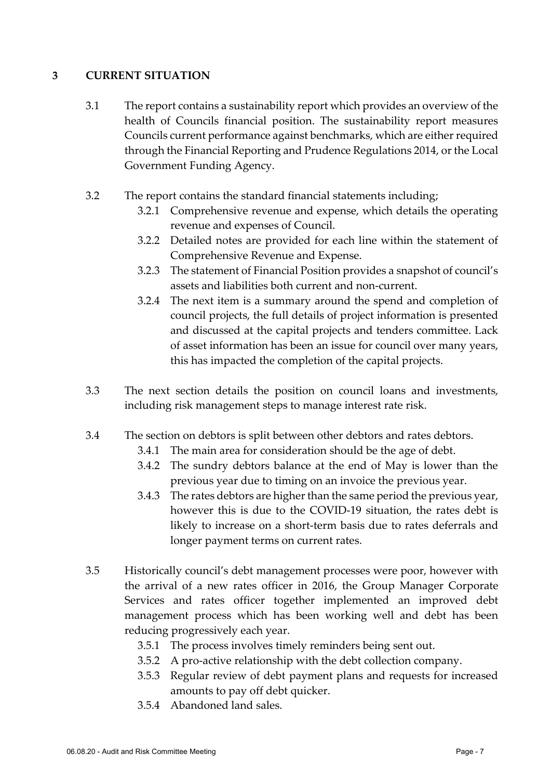#### **3 CURRENT SITUATION**

- 3.1 The report contains a sustainability report which provides an overview of the health of Councils financial position. The sustainability report measures Councils current performance against benchmarks, which are either required through the Financial Reporting and Prudence Regulations 2014, or the Local Government Funding Agency.
- 3.2 The report contains the standard financial statements including;
	- 3.2.1 Comprehensive revenue and expense, which details the operating revenue and expenses of Council.
	- 3.2.2 Detailed notes are provided for each line within the statement of Comprehensive Revenue and Expense.
	- 3.2.3 The statement of Financial Position provides a snapshot of council's assets and liabilities both current and non-current.
	- 3.2.4 The next item is a summary around the spend and completion of council projects, the full details of project information is presented and discussed at the capital projects and tenders committee. Lack of asset information has been an issue for council over many years, this has impacted the completion of the capital projects.
- 3.3 The next section details the position on council loans and investments, including risk management steps to manage interest rate risk.
- 3.4 The section on debtors is split between other debtors and rates debtors.
	- 3.4.1 The main area for consideration should be the age of debt.
	- 3.4.2 The sundry debtors balance at the end of May is lower than the previous year due to timing on an invoice the previous year.
	- 3.4.3 The rates debtors are higher than the same period the previous year, however this is due to the COVID-19 situation, the rates debt is likely to increase on a short-term basis due to rates deferrals and longer payment terms on current rates.
- 3.5 Historically council's debt management processes were poor, however with the arrival of a new rates officer in 2016, the Group Manager Corporate Services and rates officer together implemented an improved debt management process which has been working well and debt has been reducing progressively each year.
	- 3.5.1 The process involves timely reminders being sent out.
	- 3.5.2 A pro-active relationship with the debt collection company.
	- 3.5.3 Regular review of debt payment plans and requests for increased amounts to pay off debt quicker.
	- 3.5.4 Abandoned land sales.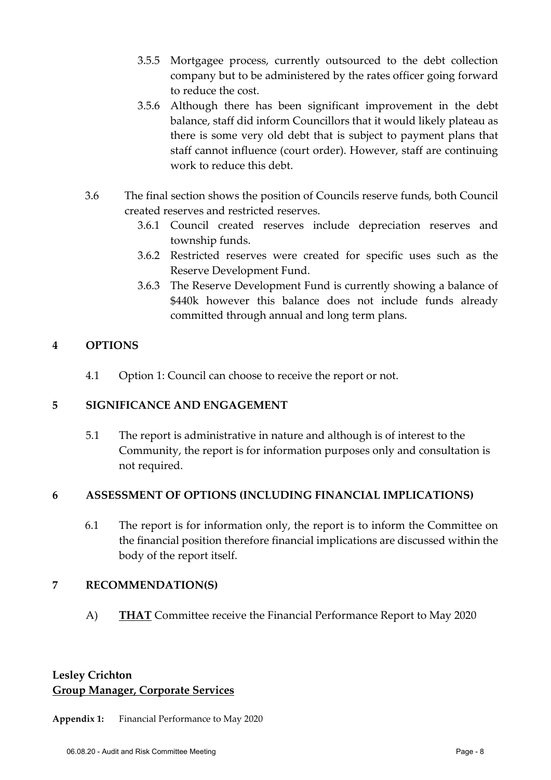- 3.5.5 Mortgagee process, currently outsourced to the debt collection company but to be administered by the rates officer going forward to reduce the cost.
- 3.5.6 Although there has been significant improvement in the debt balance, staff did inform Councillors that it would likely plateau as there is some very old debt that is subject to payment plans that staff cannot influence (court order). However, staff are continuing work to reduce this debt.
- 3.6 The final section shows the position of Councils reserve funds, both Council created reserves and restricted reserves.
	- 3.6.1 Council created reserves include depreciation reserves and township funds.
	- 3.6.2 Restricted reserves were created for specific uses such as the Reserve Development Fund.
	- 3.6.3 The Reserve Development Fund is currently showing a balance of \$440k however this balance does not include funds already committed through annual and long term plans.

#### **4 OPTIONS**

4.1 Option 1: Council can choose to receive the report or not.

#### **5 SIGNIFICANCE AND ENGAGEMENT**

5.1 The report is administrative in nature and although is of interest to the Community, the report is for information purposes only and consultation is not required.

#### **6 ASSESSMENT OF OPTIONS (INCLUDING FINANCIAL IMPLICATIONS)**

6.1 The report is for information only, the report is to inform the Committee on the financial position therefore financial implications are discussed within the body of the report itself.

#### **7 RECOMMENDATION(S)**

A) **THAT** Committee receive the Financial Performance Report to May 2020

#### **Lesley Crichton Group Manager, Corporate Services**

**Appendix 1:** Financial Performance to May 2020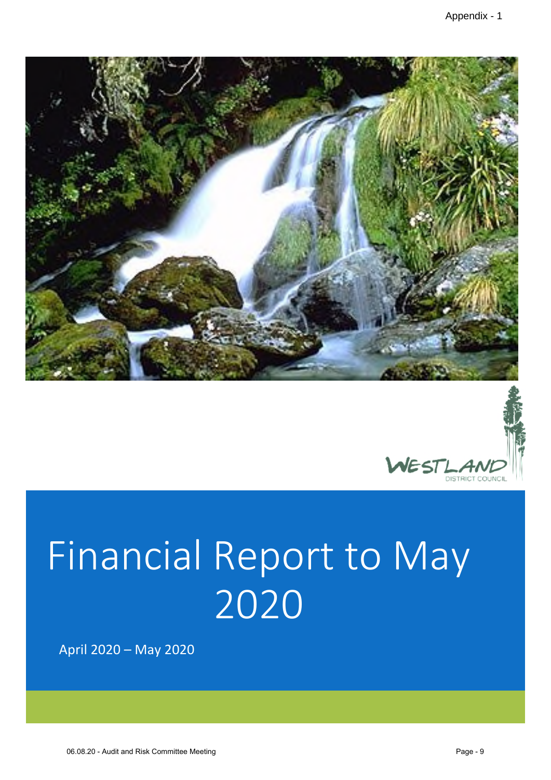



# Financial Report to May 2020

April 2020 – May 2020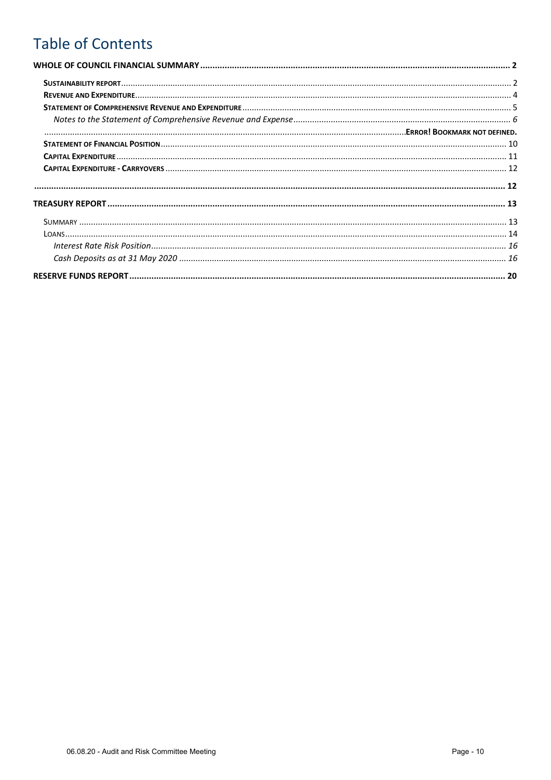## **Table of Contents**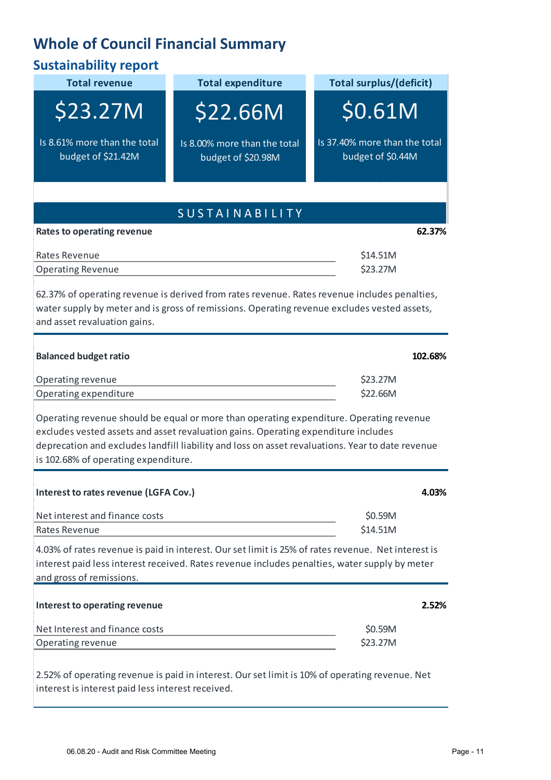## **Whole of Council Financial Summary**

| <b>Sustainability report</b>                       |                                                                                                                                                                                                                                                                                   |                                                    |
|----------------------------------------------------|-----------------------------------------------------------------------------------------------------------------------------------------------------------------------------------------------------------------------------------------------------------------------------------|----------------------------------------------------|
| <b>Total revenue</b>                               | <b>Total expenditure</b>                                                                                                                                                                                                                                                          | <b>Total surplus/(deficit)</b>                     |
| \$23.27M                                           | <b>\$22.66M</b>                                                                                                                                                                                                                                                                   | \$0.61M                                            |
| Is 8.61% more than the total<br>budget of \$21.42M | Is 8.00% more than the total<br>budget of \$20.98M                                                                                                                                                                                                                                | Is 37.40% more than the total<br>budget of \$0.44M |
|                                                    |                                                                                                                                                                                                                                                                                   |                                                    |
|                                                    | <b>SUSTAINABILITY</b>                                                                                                                                                                                                                                                             |                                                    |
| <b>Rates to operating revenue</b>                  |                                                                                                                                                                                                                                                                                   | 62.37%                                             |
| Rates Revenue<br><b>Operating Revenue</b>          |                                                                                                                                                                                                                                                                                   | \$14.51M<br>\$23.27M                               |
| and asset revaluation gains.                       | 62.37% of operating revenue is derived from rates revenue. Rates revenue includes penalties,<br>water supply by meter and is gross of remissions. Operating revenue excludes vested assets,                                                                                       |                                                    |
| <b>Balanced budget ratio</b>                       |                                                                                                                                                                                                                                                                                   | 102.68%                                            |
| Operating revenue                                  |                                                                                                                                                                                                                                                                                   | \$23.27M                                           |
| Operating expenditure                              |                                                                                                                                                                                                                                                                                   | \$22.66M                                           |
| is 102.68% of operating expenditure.               | Operating revenue should be equal or more than operating expenditure. Operating revenue<br>excludes vested assets and asset revaluation gains. Operating expenditure includes<br>deprecation and excludes landfill liability and loss on asset revaluations. Year to date revenue |                                                    |
| Interest to rates revenue (LGFA Cov.)              |                                                                                                                                                                                                                                                                                   | 4.03%                                              |
| Net interest and finance costs                     |                                                                                                                                                                                                                                                                                   | \$0.59M                                            |
| Rates Revenue                                      |                                                                                                                                                                                                                                                                                   | \$14.51M                                           |
| and gross of remissions.                           | 4.03% of rates revenue is paid in interest. Our set limit is 25% of rates revenue. Net interest is<br>interest paid less interest received. Rates revenue includes penalties, water supply by meter                                                                               |                                                    |
| Interest to operating revenue                      |                                                                                                                                                                                                                                                                                   | 2.52%                                              |
| Net Interest and finance costs                     |                                                                                                                                                                                                                                                                                   | \$0.59M                                            |
| Operating revenue                                  |                                                                                                                                                                                                                                                                                   | \$23.27M                                           |
| interest is interest paid less interest received.  | 2.52% of operating revenue is paid in interest. Our set limit is 10% of operating revenue. Net                                                                                                                                                                                    |                                                    |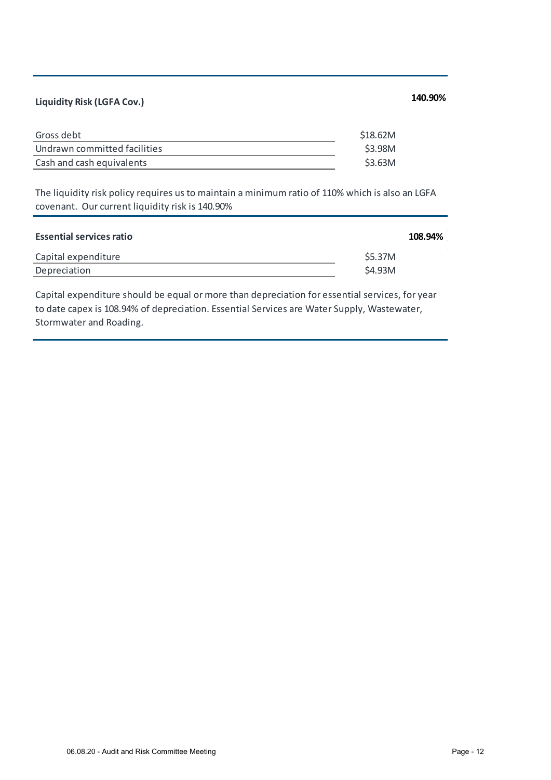## **Liquidity Risk (LGFA Cov.) 140.90%**

| Undrawn committed facilities |  |
|------------------------------|--|
| ish and cash equivalents     |  |

The liquidity risk policy requires us to maintain a minimum ratio of 110% which is also an LGFA covenant. Our current liquidity risk is 140.90%

| <b>Essential services ratio</b> |        | 108.94% |
|---------------------------------|--------|---------|
| Capital expenditure             | S5.37M |         |
| Depreciation                    | S4.93M |         |

Capital expenditure should be equal or more than depreciation for essential services, for year to date capex is 108.94% of depreciation. Essential Services are Water Supply, Wastewater, Stormwater and Roading.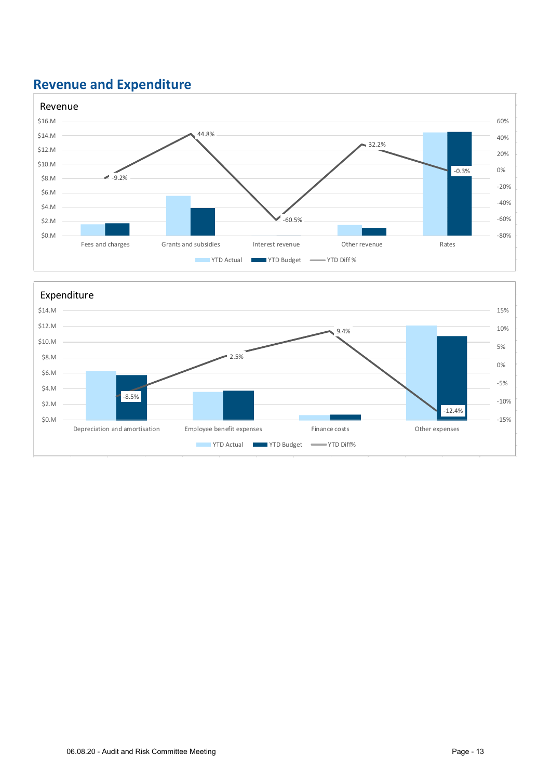## **Revenue and Expenditure**



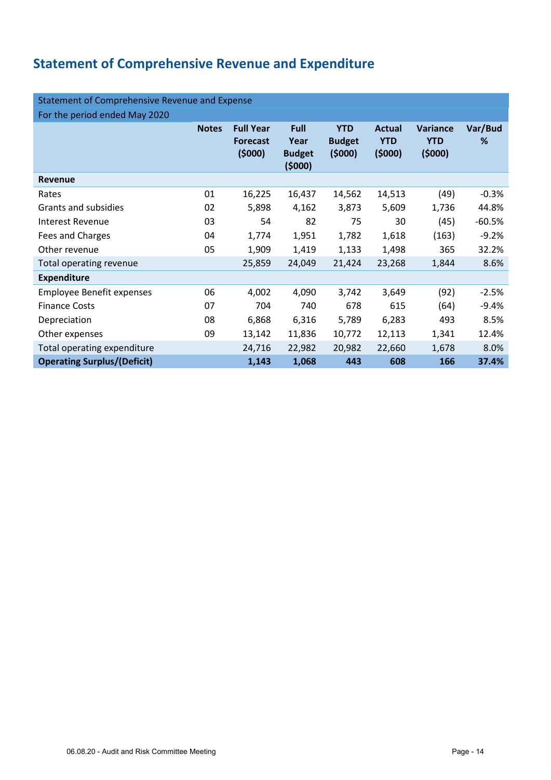## **Statement of Comprehensive Revenue and Expenditure**

| Statement of Comprehensive Revenue and Expense |              |                                               |                                                |                                       |                                       |                                         |              |  |
|------------------------------------------------|--------------|-----------------------------------------------|------------------------------------------------|---------------------------------------|---------------------------------------|-----------------------------------------|--------------|--|
| For the period ended May 2020                  |              |                                               |                                                |                                       |                                       |                                         |              |  |
|                                                | <b>Notes</b> | <b>Full Year</b><br><b>Forecast</b><br>(5000) | <b>Full</b><br>Year<br><b>Budget</b><br>(5000) | <b>YTD</b><br><b>Budget</b><br>(5000) | <b>Actual</b><br><b>YTD</b><br>(5000) | <b>Variance</b><br><b>YTD</b><br>(5000) | Var/Bud<br>℅ |  |
| Revenue                                        |              |                                               |                                                |                                       |                                       |                                         |              |  |
| Rates                                          | 01           | 16,225                                        | 16,437                                         | 14,562                                | 14,513                                | (49)                                    | $-0.3%$      |  |
| Grants and subsidies                           | 02           | 5,898                                         | 4,162                                          | 3,873                                 | 5,609                                 | 1,736                                   | 44.8%        |  |
| <b>Interest Revenue</b>                        | 03           | 54                                            | 82                                             | 75                                    | 30                                    | (45)                                    | $-60.5%$     |  |
| Fees and Charges                               | 04           | 1,774                                         | 1,951                                          | 1,782                                 | 1,618                                 | (163)                                   | $-9.2%$      |  |
| Other revenue                                  | 05           | 1,909                                         | 1,419                                          | 1,133                                 | 1,498                                 | 365                                     | 32.2%        |  |
| Total operating revenue                        |              | 25,859                                        | 24,049                                         | 21,424                                | 23,268                                | 1,844                                   | 8.6%         |  |
| <b>Expenditure</b>                             |              |                                               |                                                |                                       |                                       |                                         |              |  |
| <b>Employee Benefit expenses</b>               | 06           | 4,002                                         | 4,090                                          | 3,742                                 | 3,649                                 | (92)                                    | $-2.5%$      |  |
| <b>Finance Costs</b>                           | 07           | 704                                           | 740                                            | 678                                   | 615                                   | (64)                                    | $-9.4%$      |  |
| Depreciation                                   | 08           | 6,868                                         | 6,316                                          | 5,789                                 | 6,283                                 | 493                                     | 8.5%         |  |
| Other expenses                                 | 09           | 13,142                                        | 11,836                                         | 10,772                                | 12,113                                | 1,341                                   | 12.4%        |  |
| Total operating expenditure                    |              | 24,716                                        | 22,982                                         | 20,982                                | 22,660                                | 1,678                                   | 8.0%         |  |
| <b>Operating Surplus/(Deficit)</b>             |              | 1,143                                         | 1,068                                          | 443                                   | 608                                   | 166                                     | 37.4%        |  |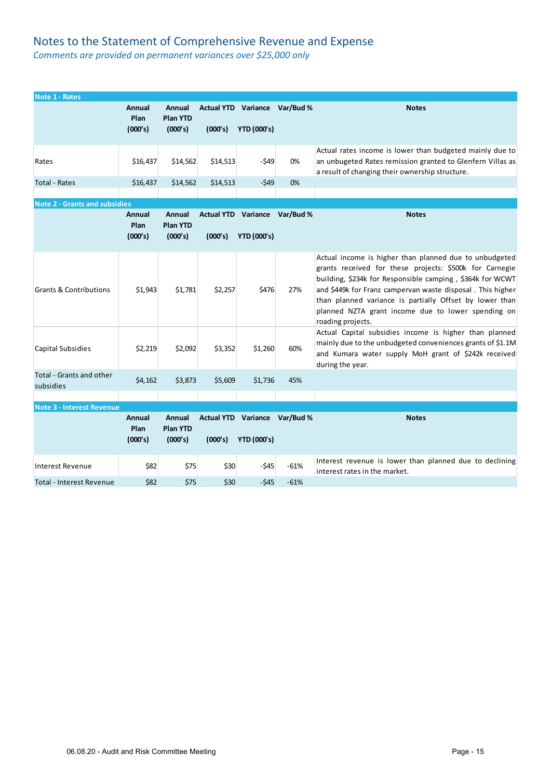#### Notes to the Statement of Comprehensive Revenue and Expense

*Comments are provided on permanent variances over \$25,000 only* 

| <b>Note 1 - Rates</b>                 |                           |                                             |          |                                                     |        |                                                                                                                                                                                                                                                                                                                                                                                    |
|---------------------------------------|---------------------------|---------------------------------------------|----------|-----------------------------------------------------|--------|------------------------------------------------------------------------------------------------------------------------------------------------------------------------------------------------------------------------------------------------------------------------------------------------------------------------------------------------------------------------------------|
|                                       | Annual<br>Plan<br>(000's) | Annual<br><b>Plan YTD</b><br>(000's)        | (000's)  | Actual YTD Variance Var/Bud %<br><b>YTD (000's)</b> |        | <b>Notes</b>                                                                                                                                                                                                                                                                                                                                                                       |
| Rates                                 | \$16,437                  | \$14,562                                    | \$14,513 | $-549$                                              | 0%     | Actual rates income is lower than budgeted mainly due to<br>an unbugeted Rates remission granted to Glenfern Villas as<br>a result of changing their ownership structure.                                                                                                                                                                                                          |
| <b>Total - Rates</b>                  | \$16,437                  | \$14,562                                    | \$14,513 | $-549$                                              | 0%     |                                                                                                                                                                                                                                                                                                                                                                                    |
| <b>Note 2 - Grants and subsidies</b>  |                           |                                             |          |                                                     |        |                                                                                                                                                                                                                                                                                                                                                                                    |
|                                       | Annual<br>Plan<br>(000's) | <b>Annual</b><br><b>Plan YTD</b><br>(000's) | (000's)  | Actual YTD Variance Var/Bud %<br><b>YTD (000's)</b> |        | <b>Notes</b>                                                                                                                                                                                                                                                                                                                                                                       |
| <b>Grants &amp; Contributions</b>     | \$1,943                   | \$1,781                                     | \$2,257  | \$476                                               | 27%    | Actual income is higher than planned due to unbudgeted<br>grants received for these projects: \$500k for Carnegie<br>building, \$234k for Responsible camping, \$364k for WCWT<br>and \$449k for Franz campervan waste disposal. This higher<br>than planned variance is partially Offset by lower than<br>planned NZTA grant income due to lower spending on<br>roading projects. |
| <b>Capital Subsidies</b>              | \$2,219                   | \$2,092                                     | \$3,352  | \$1,260                                             | 60%    | Actual Capital subsidies income is higher than planned<br>mainly due to the unbudgeted conveniences grants of \$1.1M<br>and Kumara water supply MoH grant of \$242k received<br>during the year.                                                                                                                                                                                   |
| Total - Grants and other<br>subsidies | \$4,162                   | \$3,873                                     | \$5,609  | \$1,736                                             | 45%    |                                                                                                                                                                                                                                                                                                                                                                                    |
|                                       |                           |                                             |          |                                                     |        |                                                                                                                                                                                                                                                                                                                                                                                    |
| <b>Note 3 - Interest Revenue</b>      | Annual<br>Plan<br>(000's) | <b>Annual</b><br><b>Plan YTD</b><br>(000's) | (000's)  | Actual YTD Variance Var/Bud %<br><b>YTD (000's)</b> |        | <b>Notes</b>                                                                                                                                                                                                                                                                                                                                                                       |
| <b>Interest Revenue</b>               | \$82                      | \$75                                        | \$30     | $-545$                                              | $-61%$ | Interest revenue is lower than planned due to declining<br>interest rates in the market.                                                                                                                                                                                                                                                                                           |
| Total - Interest Revenue              | \$82                      | \$75                                        | \$30     | $-545$                                              | $-61%$ |                                                                                                                                                                                                                                                                                                                                                                                    |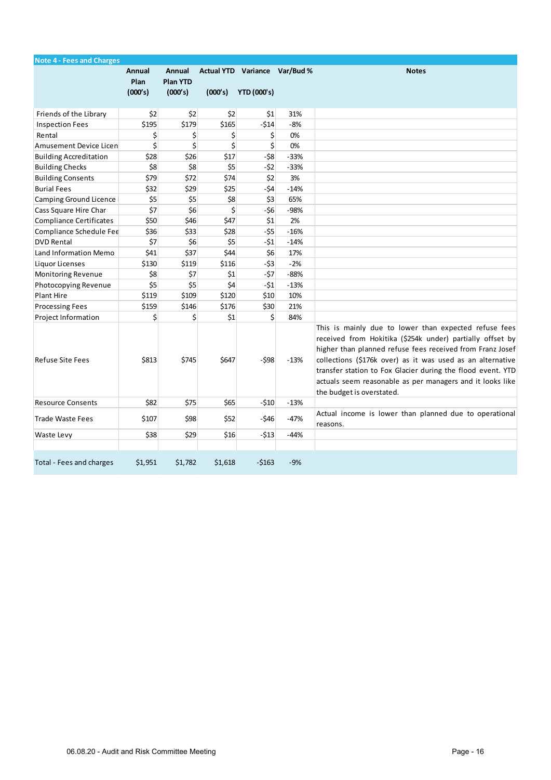| <b>Note 4 - Fees and Charges</b> |                           |                                      |               |                                                     |        |                                                                                                                                                                                                                                                                                                                                                                                                        |
|----------------------------------|---------------------------|--------------------------------------|---------------|-----------------------------------------------------|--------|--------------------------------------------------------------------------------------------------------------------------------------------------------------------------------------------------------------------------------------------------------------------------------------------------------------------------------------------------------------------------------------------------------|
|                                  | Annual<br>Plan<br>(000's) | Annual<br><b>Plan YTD</b><br>(000's) | (000's)       | Actual YTD Variance Var/Bud %<br><b>YTD (000's)</b> |        | <b>Notes</b>                                                                                                                                                                                                                                                                                                                                                                                           |
| Friends of the Library           | \$2                       | \$2                                  | \$2           | \$1                                                 | 31%    |                                                                                                                                                                                                                                                                                                                                                                                                        |
| <b>Inspection Fees</b>           | \$195                     | \$179                                | \$165         | $-514$                                              | $-8%$  |                                                                                                                                                                                                                                                                                                                                                                                                        |
| Rental                           | \$                        | \$                                   | \$            | \$                                                  | 0%     |                                                                                                                                                                                                                                                                                                                                                                                                        |
| Amusement Device Licen           | \$                        | \$                                   | \$            | \$                                                  | 0%     |                                                                                                                                                                                                                                                                                                                                                                                                        |
| <b>Building Accreditation</b>    | \$28                      | \$26                                 | \$17          | $-58$                                               | $-33%$ |                                                                                                                                                                                                                                                                                                                                                                                                        |
| <b>Building Checks</b>           | \$8                       | \$8                                  | \$5           | $-52$                                               | $-33%$ |                                                                                                                                                                                                                                                                                                                                                                                                        |
| <b>Building Consents</b>         | \$79                      | \$72                                 | \$74          | \$2                                                 | 3%     |                                                                                                                                                                                                                                                                                                                                                                                                        |
| <b>Burial Fees</b>               | \$32                      | \$29                                 | \$25          | $-54$                                               | $-14%$ |                                                                                                                                                                                                                                                                                                                                                                                                        |
| Camping Ground Licence           | \$5                       | \$5                                  | \$8           | \$3                                                 | 65%    |                                                                                                                                                                                                                                                                                                                                                                                                        |
| Cass Square Hire Char            | \$7                       | \$6                                  | \$            | $-56$                                               | $-98%$ |                                                                                                                                                                                                                                                                                                                                                                                                        |
| <b>Compliance Certificates</b>   | \$50                      | \$46                                 | \$47          | $\frac{1}{2}$                                       | 2%     |                                                                                                                                                                                                                                                                                                                                                                                                        |
| Compliance Schedule Fee          | \$36                      | \$33                                 | \$28          | $-55$                                               | $-16%$ |                                                                                                                                                                                                                                                                                                                                                                                                        |
| <b>DVD Rental</b>                | \$7                       | \$6                                  | \$5           | $-51$                                               | $-14%$ |                                                                                                                                                                                                                                                                                                                                                                                                        |
| Land Information Memo            | \$41                      | \$37                                 | \$44          | \$6                                                 | 17%    |                                                                                                                                                                                                                                                                                                                                                                                                        |
| Liquor Licenses                  | \$130                     | \$119                                | \$116         | $-53$                                               | $-2%$  |                                                                                                                                                                                                                                                                                                                                                                                                        |
| Monitoring Revenue               | \$8                       | \$7                                  | $\vert$ \$1   | $-57$                                               | $-88%$ |                                                                                                                                                                                                                                                                                                                                                                                                        |
| Photocopying Revenue             | \$5                       | \$5                                  | \$4           | $-51$                                               | $-13%$ |                                                                                                                                                                                                                                                                                                                                                                                                        |
| <b>Plant Hire</b>                | \$119                     | \$109                                | \$120         | \$10                                                | 10%    |                                                                                                                                                                                                                                                                                                                                                                                                        |
| <b>Processing Fees</b>           | \$159                     | \$146                                | \$176         | \$30                                                | 21%    |                                                                                                                                                                                                                                                                                                                                                                                                        |
| Project Information              | \$                        | Ś                                    | $\frac{1}{2}$ | \$                                                  | 84%    |                                                                                                                                                                                                                                                                                                                                                                                                        |
| <b>Refuse Site Fees</b>          | \$813                     | \$745                                | \$647         | $-598$                                              | $-13%$ | This is mainly due to lower than expected refuse fees<br>received from Hokitika (\$254k under) partially offset by<br>higher than planned refuse fees received from Franz Josef<br>collections (\$176k over) as it was used as an alternative<br>transfer station to Fox Glacier during the flood event. YTD<br>actuals seem reasonable as per managers and it looks like<br>the budget is overstated. |
| <b>Resource Consents</b>         | \$82                      | \$75                                 | \$65          | $-510$                                              | $-13%$ |                                                                                                                                                                                                                                                                                                                                                                                                        |
| <b>Trade Waste Fees</b>          | \$107                     | \$98                                 | \$52          | $-546$                                              | $-47%$ | Actual income is lower than planned due to operational<br>reasons.                                                                                                                                                                                                                                                                                                                                     |
| Waste Levy                       | \$38                      | \$29                                 | \$16          | $-513$                                              | $-44%$ |                                                                                                                                                                                                                                                                                                                                                                                                        |
|                                  |                           |                                      |               |                                                     |        |                                                                                                                                                                                                                                                                                                                                                                                                        |
| Total - Fees and charges         | \$1,951                   | \$1,782                              | \$1,618       | $-5163$                                             | $-9%$  |                                                                                                                                                                                                                                                                                                                                                                                                        |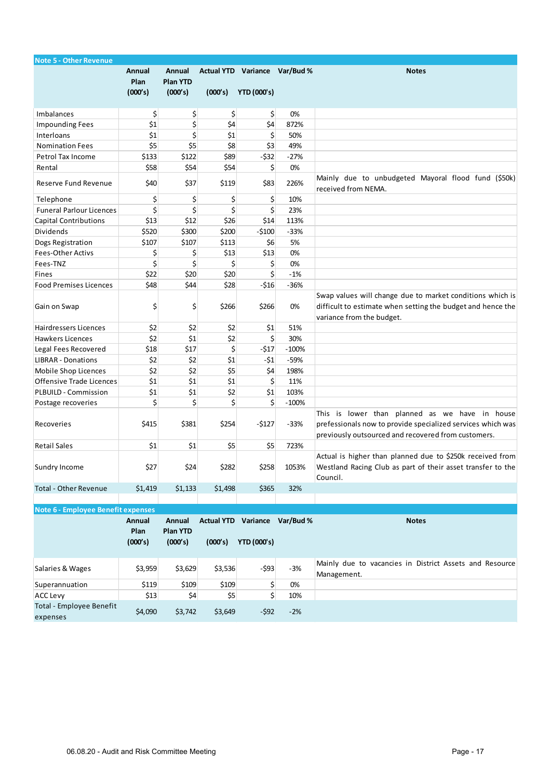| <b>Note 5 - Other Revenue</b>        |                       |                           |         |                               |         |                                                                                                                                                                      |
|--------------------------------------|-----------------------|---------------------------|---------|-------------------------------|---------|----------------------------------------------------------------------------------------------------------------------------------------------------------------------|
|                                      | Annual<br><b>Plan</b> | Annual<br><b>Plan YTD</b> |         | Actual YTD Variance Var/Bud % |         | <b>Notes</b>                                                                                                                                                         |
|                                      | (000's)               | (000's)                   | (000's) | <b>YTD (000's)</b>            |         |                                                                                                                                                                      |
| Imbalances                           | \$                    | \$                        | \$      | \$                            | 0%      |                                                                                                                                                                      |
| <b>Impounding Fees</b>               | \$1                   | \$                        | \$4     | \$4                           | 872%    |                                                                                                                                                                      |
| Interloans                           | \$1                   | \$                        | \$1     | \$                            | 50%     |                                                                                                                                                                      |
| <b>Nomination Fees</b>               | \$5                   | \$5                       | \$8     | \$3                           | 49%     |                                                                                                                                                                      |
| Petrol Tax Income                    | \$133                 | \$122                     | \$89    | $-532$                        | $-27%$  |                                                                                                                                                                      |
| Rental                               | \$58                  | \$54                      | \$54    | \$                            | 0%      |                                                                                                                                                                      |
| Reserve Fund Revenue                 | \$40                  | \$37                      | \$119   | \$83                          | 226%    | Mainly due to unbudgeted Mayoral flood fund (\$50k)<br>received from NEMA.                                                                                           |
| Telephone                            | \$                    | \$                        | \$      | \$                            | 10%     |                                                                                                                                                                      |
| <b>Funeral Parlour Licences</b>      | \$                    | \$                        | \$      | \$                            | 23%     |                                                                                                                                                                      |
| <b>Capital Contributions</b>         | \$13                  | \$12                      | \$26    | \$14                          | 113%    |                                                                                                                                                                      |
| Dividends                            | \$520                 | \$300                     | \$200   | $-5100$                       | $-33%$  |                                                                                                                                                                      |
| Dogs Registration                    | \$107                 | \$107                     | \$113   | \$6                           | 5%      |                                                                                                                                                                      |
| <b>Fees-Other Activs</b>             | \$                    | \$                        | \$13    | \$13                          | 0%      |                                                                                                                                                                      |
| Fees-TNZ                             | \$                    | \$                        | \$      | \$                            | 0%      |                                                                                                                                                                      |
| Fines                                | \$22                  | \$20                      | \$20    | \$                            | $-1%$   |                                                                                                                                                                      |
| <b>Food Premises Licences</b>        | \$48                  | \$44                      | \$28    | $-516$                        | $-36%$  |                                                                                                                                                                      |
| Gain on Swap                         | \$                    | \$                        | \$266   | \$266                         | 0%      | Swap values will change due to market conditions which is<br>difficult to estimate when setting the budget and hence the<br>variance from the budget.                |
| Hairdressers Licences                | \$2                   | \$2                       | \$2     | \$1                           | 51%     |                                                                                                                                                                      |
| Hawkers Licences                     | \$2                   | \$1                       | \$2     | \$                            | 30%     |                                                                                                                                                                      |
| Legal Fees Recovered                 | \$18                  | \$17                      | \$      | $-517$                        | $-100%$ |                                                                                                                                                                      |
| <b>LIBRAR - Donations</b>            | \$2                   | \$2                       | \$1     | $-51$                         | -59%    |                                                                                                                                                                      |
| Mobile Shop Licences                 | \$2                   | \$2                       | \$5     | \$4                           | 198%    |                                                                                                                                                                      |
| Offensive Trade Licences             | \$1                   | \$1                       | \$1     | \$                            | 11%     |                                                                                                                                                                      |
| PLBUILD - Commission                 | \$1                   | \$1                       | \$2     | \$1                           | 103%    |                                                                                                                                                                      |
| Postage recoveries                   | \$                    | \$                        | \$      | \$                            | $-100%$ |                                                                                                                                                                      |
| Recoveries                           | \$415                 | \$381                     | \$254   | $-$127$                       | $-33%$  | This is lower than planned as we have in house<br>prefessionals now to provide specialized services which was<br>previously outsourced and recovered from customers. |
| <b>Retail Sales</b>                  | \$1                   | \$1                       | \$5     | \$5                           | 723%    |                                                                                                                                                                      |
| Sundry Income                        | \$27                  | \$24                      | \$282   | \$258                         | 1053%   | Actual is higher than planned due to \$250k received from<br>Westland Racing Club as part of their asset transfer to the<br>Council.                                 |
| <b>Total - Other Revenue</b>         | \$1,419               | \$1,133                   | \$1,498 | \$365                         | 32%     |                                                                                                                                                                      |
| Note 6 - Employee Benefit expenses   |                       |                           |         |                               |         |                                                                                                                                                                      |
|                                      | Annual                | Annual                    |         | Actual YTD Variance Var/Bud % |         | <b>Notes</b>                                                                                                                                                         |
|                                      | Plan                  | <b>Plan YTD</b>           |         |                               |         |                                                                                                                                                                      |
|                                      | (000's)               | (000's)                   | (000's) | <b>YTD (000's)</b>            |         |                                                                                                                                                                      |
|                                      |                       |                           |         |                               |         |                                                                                                                                                                      |
| Salaries & Wages                     | \$3,959               | \$3,629                   | \$3,536 | $-593$                        | $-3%$   | Mainly due to vacancies in District Assets and Resource<br>Management.                                                                                               |
| Superannuation                       | \$119                 | \$109                     | \$109   | \$                            | 0%      |                                                                                                                                                                      |
| <b>ACC Levy</b>                      | \$13                  | \$4                       | \$5     | \$                            | 10%     |                                                                                                                                                                      |
| Total - Employee Benefit<br>expenses | \$4,090               | \$3,742                   | \$3,649 | $-592$                        | $-2%$   |                                                                                                                                                                      |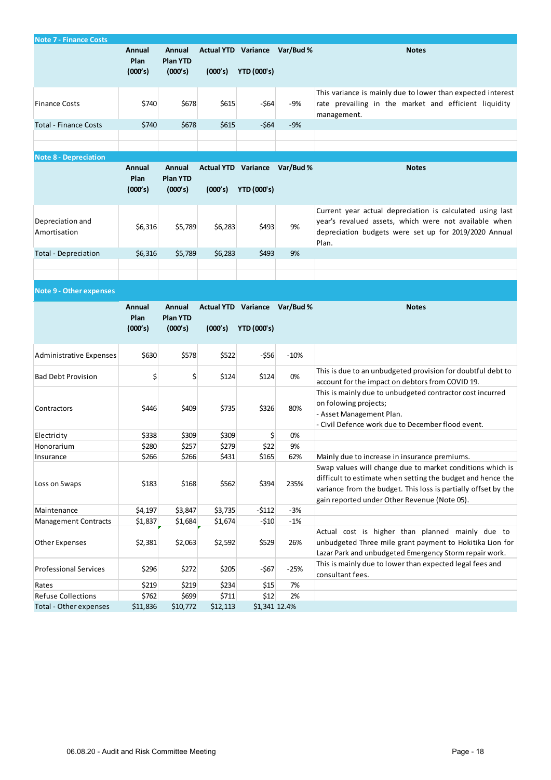| <b>Note 7 - Finance Costs</b>                       |                           |                                      |                   |                                                     |        |                                                                                                                                                                                                                                            |
|-----------------------------------------------------|---------------------------|--------------------------------------|-------------------|-----------------------------------------------------|--------|--------------------------------------------------------------------------------------------------------------------------------------------------------------------------------------------------------------------------------------------|
|                                                     | Annual<br>Plan<br>(000's) | Annual<br><b>Plan YTD</b><br>(000's) | (000's)           | Actual YTD Variance Var/Bud %<br><b>YTD (000's)</b> |        | <b>Notes</b>                                                                                                                                                                                                                               |
| <b>Finance Costs</b>                                | \$740                     | \$678                                | \$615             | -\$64                                               | -9%    | This variance is mainly due to lower than expected interest<br>rate prevailing in the market and efficient liquidity<br>management.                                                                                                        |
| <b>Total - Finance Costs</b>                        | \$740                     | \$678                                | \$615             | $-564$                                              | $-9%$  |                                                                                                                                                                                                                                            |
|                                                     |                           |                                      |                   |                                                     |        |                                                                                                                                                                                                                                            |
| <b>Note 8 - Depreciation</b>                        |                           |                                      |                   |                                                     |        |                                                                                                                                                                                                                                            |
|                                                     | Annual<br>Plan<br>(000's) | Annual<br><b>Plan YTD</b><br>(000's) | (000's)           | Actual YTD Variance Var/Bud %<br><b>YTD (000's)</b> |        | <b>Notes</b>                                                                                                                                                                                                                               |
| Depreciation and<br>Amortisation                    | \$6,316                   | \$5,789                              | \$6,283           | \$493                                               | 9%     | Current year actual depreciation is calculated using last<br>year's revalued assets, which were not available when<br>depreciation budgets were set up for 2019/2020 Annual<br>Plan.                                                       |
| <b>Total - Depreciation</b>                         | \$6,316                   | \$5,789                              | \$6,283           | \$493                                               | 9%     |                                                                                                                                                                                                                                            |
|                                                     |                           |                                      |                   |                                                     |        |                                                                                                                                                                                                                                            |
|                                                     |                           |                                      |                   |                                                     |        |                                                                                                                                                                                                                                            |
| <b>Note 9 - Other expenses</b>                      |                           |                                      |                   |                                                     |        |                                                                                                                                                                                                                                            |
|                                                     | Annual<br>Plan            | Annual<br><b>Plan YTD</b>            |                   | Actual YTD Variance Var/Bud %                       |        | <b>Notes</b>                                                                                                                                                                                                                               |
|                                                     | (000's)                   | (000's)                              | (000's)           | <b>YTD (000's)</b>                                  |        |                                                                                                                                                                                                                                            |
| Administrative Expenses                             | \$630                     | \$578                                | \$522             | $-556$                                              | $-10%$ |                                                                                                                                                                                                                                            |
| <b>Bad Debt Provision</b>                           | \$                        | \$                                   | \$124             | \$124                                               | 0%     | This is due to an unbudgeted provision for doubtful debt to<br>account for the impact on debtors from COVID 19.                                                                                                                            |
| Contractors                                         | \$446                     | \$409                                |                   |                                                     |        |                                                                                                                                                                                                                                            |
|                                                     |                           |                                      | \$735             | \$326                                               | 80%    | This is mainly due to unbudgeted contractor cost incurred<br>on folowing projects;<br>- Asset Management Plan.<br>- Civil Defence work due to December flood event.                                                                        |
| Electricity                                         | \$338                     | \$309                                | \$309             | \$                                                  | 0%     |                                                                                                                                                                                                                                            |
| Honorarium                                          | \$280                     | \$257                                | \$279             | \$22                                                | 9%     |                                                                                                                                                                                                                                            |
| Insurance                                           | \$266                     | \$266                                | \$431             | \$165                                               | 62%    | Mainly due to increase in insurance premiums.                                                                                                                                                                                              |
| Loss on Swaps                                       | \$183                     | \$168                                | \$562             | \$394                                               | 235%   | Swap values will change due to market conditions which is<br>difficult to estimate when setting the budget and hence the<br>variance from the budget. This loss is partially offset by the<br>gain reported under Other Revenue (Note 05). |
| Maintenance                                         | \$4,197                   | \$3,847                              | \$3,735           | $-5112$                                             | $-3%$  |                                                                                                                                                                                                                                            |
| <b>Management Contracts</b>                         | \$1,837                   | \$1,684                              | \$1,674           | $-510$                                              | $-1%$  |                                                                                                                                                                                                                                            |
| Other Expenses                                      | \$2,381                   | \$2,063                              | \$2,592           | \$529                                               | 26%    | Actual cost is higher than planned mainly due to<br>unbudgeted Three mile grant payment to Hokitika Lion for<br>Lazar Park and unbudgeted Emergency Storm repair work.                                                                     |
| <b>Professional Services</b>                        | \$296                     | \$272                                | \$205             | -\$67                                               | $-25%$ | This is mainly due to lower than expected legal fees and<br>consultant fees.                                                                                                                                                               |
| Rates                                               | \$219                     | \$219                                | \$234             | \$15                                                | 7%     |                                                                                                                                                                                                                                            |
| <b>Refuse Collections</b><br>Total - Other expenses | \$762<br>\$11,836         | \$699<br>\$10,772                    | \$711<br>\$12,113 | \$12<br>\$1,341 12.4%                               | 2%     |                                                                                                                                                                                                                                            |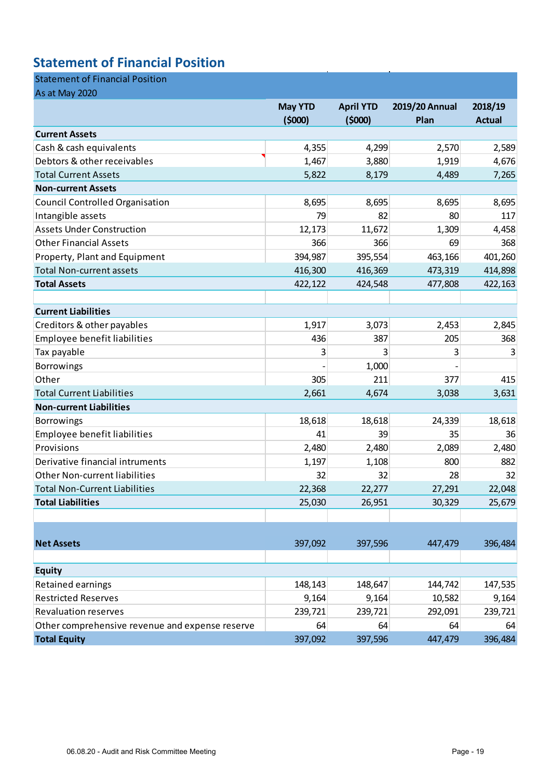## **Statement of Financial Position**

### Statement of Financial Position

| As at May 2020                                  |                |                  |                |               |
|-------------------------------------------------|----------------|------------------|----------------|---------------|
|                                                 | <b>May YTD</b> | <b>April YTD</b> | 2019/20 Annual | 2018/19       |
|                                                 | (5000)         | (5000)           | Plan           | <b>Actual</b> |
| <b>Current Assets</b>                           |                |                  |                |               |
| Cash & cash equivalents                         | 4,355          | 4,299            | 2,570          | 2,589         |
| Debtors & other receivables                     | 1,467          | 3,880            | 1,919          | 4,676         |
| <b>Total Current Assets</b>                     | 5,822          | 8,179            | 4,489          | 7,265         |
| <b>Non-current Assets</b>                       |                |                  |                |               |
| <b>Council Controlled Organisation</b>          | 8,695          | 8,695            | 8,695          | 8,695         |
| Intangible assets                               | 79             | 82               | 80             | 117           |
| <b>Assets Under Construction</b>                | 12,173         | 11,672           | 1,309          | 4,458         |
| <b>Other Financial Assets</b>                   | 366            | 366              | 69             | 368           |
| Property, Plant and Equipment                   | 394,987        | 395,554          | 463,166        | 401,260       |
| <b>Total Non-current assets</b>                 | 416,300        | 416,369          | 473,319        | 414,898       |
| <b>Total Assets</b>                             | 422,122        | 424,548          | 477,808        | 422,163       |
|                                                 |                |                  |                |               |
| <b>Current Liabilities</b>                      |                |                  |                |               |
| Creditors & other payables                      | 1,917          | 3,073            | 2,453          | 2,845         |
| Employee benefit liabilities                    | 436            | 387              | 205            | 368           |
| Tax payable                                     | 3              | 3                | 3              |               |
| Borrowings                                      |                | 1,000            |                |               |
| Other                                           | 305            | 211              | 377            | 415           |
| <b>Total Current Liabilities</b>                | 2,661          | 4,674            | 3,038          | 3,631         |
| <b>Non-current Liabilities</b>                  |                |                  |                |               |
| <b>Borrowings</b>                               | 18,618         | 18,618           | 24,339         | 18,618        |
| Employee benefit liabilities                    | 41             | 39               | 35             | 36            |
| Provisions                                      | 2,480          | 2,480            | 2,089          | 2,480         |
| Derivative financial intruments                 | 1,197          | 1,108            | 800            | 882           |
| <b>Other Non-current liabilities</b>            | 32             | 32               | 28             | 32            |
| <b>Total Non-Current Liabilities</b>            | 22,368         | 22,277           | 27,291         | 22,048        |
| <b>Total Liabilities</b>                        | 25,030         | 26,951           | 30,329         | 25,679        |
|                                                 |                |                  |                |               |
|                                                 |                |                  |                |               |
| <b>Net Assets</b>                               | 397,092        | 397,596          | 447,479        | 396,484       |
|                                                 |                |                  |                |               |
| <b>Equity</b>                                   |                |                  |                |               |
| Retained earnings                               | 148,143        | 148,647          | 144,742        | 147,535       |
| <b>Restricted Reserves</b>                      | 9,164          | 9,164            | 10,582         | 9,164         |
| <b>Revaluation reserves</b>                     | 239,721        | 239,721          | 292,091        | 239,721       |
| Other comprehensive revenue and expense reserve | 64             | 64               | 64             | 64            |
| <b>Total Equity</b>                             | 397,092        | 397,596          | 447,479        | 396,484       |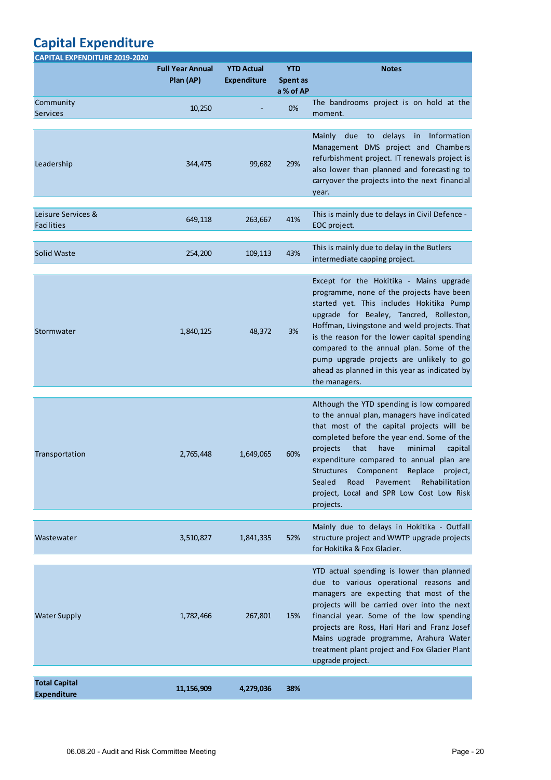## **Capital Expenditure**

| <b>CAPITAL EXPENDITURE 2019-2020</b>       |                                      |                                         |                                     |                                                                                                                                                                                                                                                                                                                                                                                                                                                    |
|--------------------------------------------|--------------------------------------|-----------------------------------------|-------------------------------------|----------------------------------------------------------------------------------------------------------------------------------------------------------------------------------------------------------------------------------------------------------------------------------------------------------------------------------------------------------------------------------------------------------------------------------------------------|
|                                            | <b>Full Year Annual</b><br>Plan (AP) | <b>YTD Actual</b><br><b>Expenditure</b> | <b>YTD</b><br>Spent as<br>a % of AP | <b>Notes</b>                                                                                                                                                                                                                                                                                                                                                                                                                                       |
| Community<br>Services                      | 10,250                               |                                         | 0%                                  | The bandrooms project is on hold at the<br>moment.                                                                                                                                                                                                                                                                                                                                                                                                 |
| Leadership                                 | 344,475                              | 99,682                                  | 29%                                 | delays in Information<br>due<br>to<br>Mainly<br>Management DMS project and Chambers<br>refurbishment project. IT renewals project is<br>also lower than planned and forecasting to<br>carryover the projects into the next financial<br>year.                                                                                                                                                                                                      |
| Leisure Services &<br><b>Facilities</b>    | 649,118                              | 263,667                                 | 41%                                 | This is mainly due to delays in Civil Defence -<br>EOC project.                                                                                                                                                                                                                                                                                                                                                                                    |
| Solid Waste                                | 254,200                              | 109,113                                 | 43%                                 | This is mainly due to delay in the Butlers<br>intermediate capping project.                                                                                                                                                                                                                                                                                                                                                                        |
| Stormwater                                 | 1,840,125                            | 48,372                                  | 3%                                  | Except for the Hokitika - Mains upgrade<br>programme, none of the projects have been<br>started yet. This includes Hokitika Pump<br>upgrade for Bealey, Tancred, Rolleston,<br>Hoffman, Livingstone and weld projects. That<br>is the reason for the lower capital spending<br>compared to the annual plan. Some of the<br>pump upgrade projects are unlikely to go<br>ahead as planned in this year as indicated by<br>the managers.              |
| Transportation                             | 2,765,448                            | 1,649,065                               | 60%                                 | Although the YTD spending is low compared<br>to the annual plan, managers have indicated<br>that most of the capital projects will be<br>completed before the year end. Some of the<br>that<br>have<br>minimal<br>projects<br>capital<br>expenditure compared to annual plan are<br>Component<br><b>Structures</b><br>Replace<br>project,<br>Sealed<br>Pavement<br>Rehabilitation<br>Road<br>project, Local and SPR Low Cost Low Risk<br>projects. |
| Wastewater                                 | 3,510,827                            | 1,841,335                               | 52%                                 | Mainly due to delays in Hokitika - Outfall<br>structure project and WWTP upgrade projects<br>for Hokitika & Fox Glacier.                                                                                                                                                                                                                                                                                                                           |
| <b>Water Supply</b>                        | 1,782,466                            | 267,801                                 | 15%                                 | YTD actual spending is lower than planned<br>due to various operational reasons and<br>managers are expecting that most of the<br>projects will be carried over into the next<br>financial year. Some of the low spending<br>projects are Ross, Hari Hari and Franz Josef<br>Mains upgrade programme, Arahura Water<br>treatment plant project and Fox Glacier Plant<br>upgrade project.                                                           |
| <b>Total Capital</b><br><b>Expenditure</b> | 11,156,909                           | 4,279,036                               | 38%                                 |                                                                                                                                                                                                                                                                                                                                                                                                                                                    |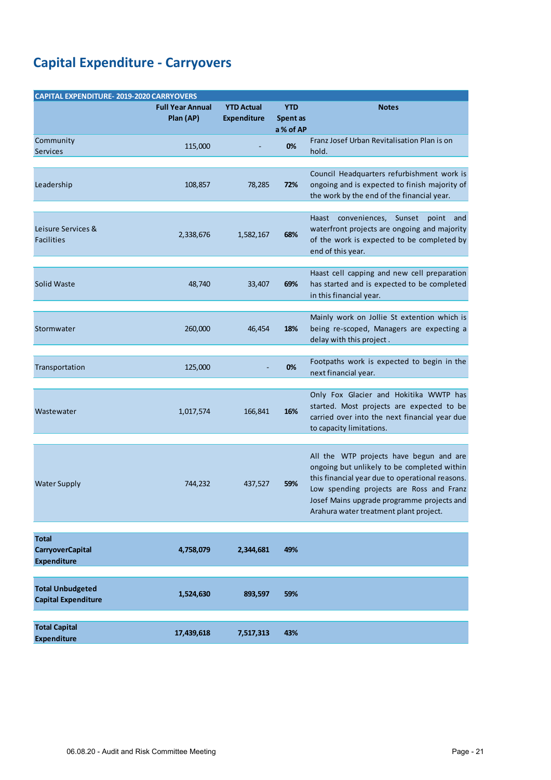## **Capital Expenditure - Carryovers**

| <b>CAPITAL EXPENDITURE-2019-2020 CARRYOVERS</b>               |                                      |                                         |                                     |                                                                                                                                                                                                                                                                               |  |  |  |
|---------------------------------------------------------------|--------------------------------------|-----------------------------------------|-------------------------------------|-------------------------------------------------------------------------------------------------------------------------------------------------------------------------------------------------------------------------------------------------------------------------------|--|--|--|
|                                                               | <b>Full Year Annual</b><br>Plan (AP) | <b>YTD Actual</b><br><b>Expenditure</b> | <b>YTD</b><br>Spent as<br>a % of AP | <b>Notes</b>                                                                                                                                                                                                                                                                  |  |  |  |
| Community<br><b>Services</b>                                  | 115,000                              |                                         | 0%                                  | Franz Josef Urban Revitalisation Plan is on<br>hold.                                                                                                                                                                                                                          |  |  |  |
| Leadership                                                    | 108,857                              | 78,285                                  | 72%                                 | Council Headquarters refurbishment work is<br>ongoing and is expected to finish majority of<br>the work by the end of the financial year.                                                                                                                                     |  |  |  |
| Leisure Services &<br><b>Facilities</b>                       | 2,338,676                            | 1,582,167                               | 68%                                 | Haast conveniences, Sunset point and<br>waterfront projects are ongoing and majority<br>of the work is expected to be completed by<br>end of this year.                                                                                                                       |  |  |  |
| Solid Waste                                                   | 48,740                               | 33,407                                  | 69%                                 | Haast cell capping and new cell preparation<br>has started and is expected to be completed<br>in this financial year.                                                                                                                                                         |  |  |  |
| Stormwater                                                    | 260,000                              | 46,454                                  | 18%                                 | Mainly work on Jollie St extention which is<br>being re-scoped, Managers are expecting a<br>delay with this project.                                                                                                                                                          |  |  |  |
| Transportation                                                | 125,000                              |                                         | 0%                                  | Footpaths work is expected to begin in the<br>next financial year.                                                                                                                                                                                                            |  |  |  |
| Wastewater                                                    | 1,017,574                            | 166,841                                 | 16%                                 | Only Fox Glacier and Hokitika WWTP has<br>started. Most projects are expected to be<br>carried over into the next financial year due<br>to capacity limitations.                                                                                                              |  |  |  |
| <b>Water Supply</b>                                           | 744,232                              | 437,527                                 | 59%                                 | All the WTP projects have begun and are<br>ongoing but unlikely to be completed within<br>this financial year due to operational reasons.<br>Low spending projects are Ross and Franz<br>Josef Mains upgrade programme projects and<br>Arahura water treatment plant project. |  |  |  |
| <b>Total</b><br><b>CarryoverCapital</b><br><b>Expenditure</b> | 4,758,079                            | 2,344,681                               | 49%                                 |                                                                                                                                                                                                                                                                               |  |  |  |
| <b>Total Unbudgeted</b><br><b>Capital Expenditure</b>         | 1,524,630                            | 893,597                                 | 59%                                 |                                                                                                                                                                                                                                                                               |  |  |  |
| <b>Total Capital</b><br><b>Expenditure</b>                    | 17,439,618                           | 7,517,313                               | 43%                                 |                                                                                                                                                                                                                                                                               |  |  |  |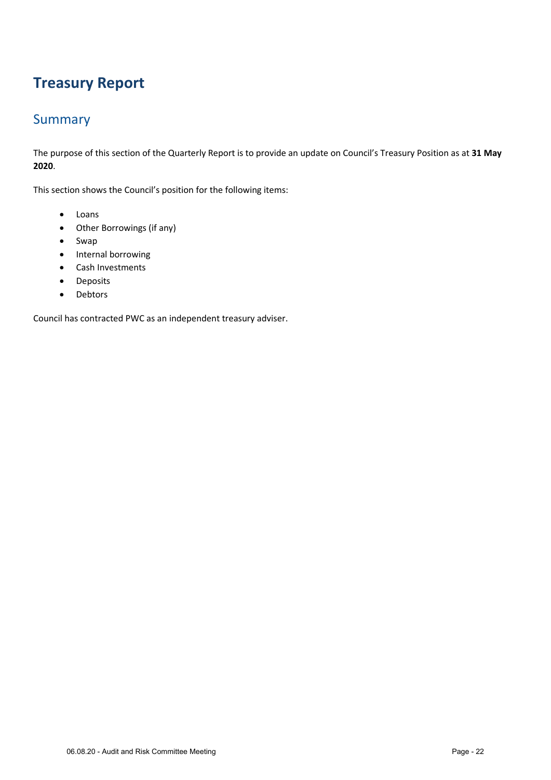## **Treasury Report**

### **Summary**

The purpose of this section of the Quarterly Report is to provide an update on Council's Treasury Position as at **31 May 2020**.

This section shows the Council's position for the following items:

- Loans
- Other Borrowings (if any)
- Swap
- Internal borrowing
- Cash Investments
- **•** Deposits
- Debtors

Council has contracted PWC as an independent treasury adviser.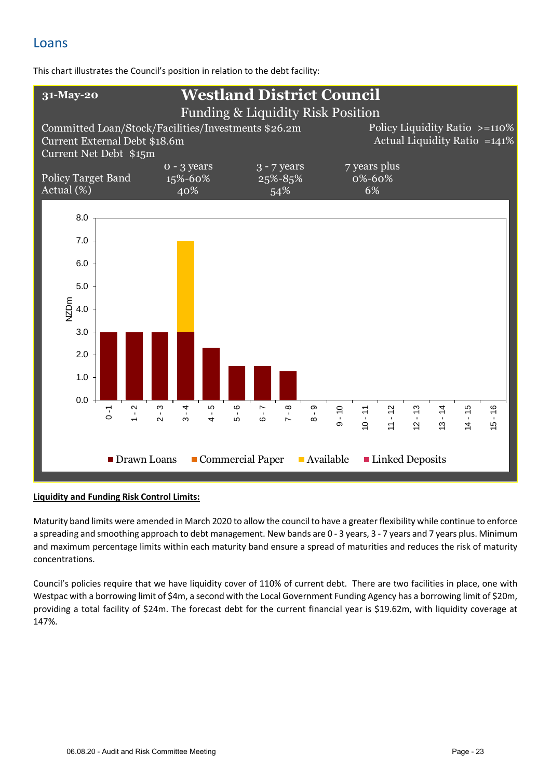### Loans

This chart illustrates the Council's position in relation to the debt facility:



#### **Liquidity and Funding Risk Control Limits:**

Maturity band limits were amended in March 2020 to allow the council to have a greater flexibility while continue to enforce a spreading and smoothing approach to debt management. New bands are 0 - 3 years, 3 - 7 years and 7 years plus. Minimum and maximum percentage limits within each maturity band ensure a spread of maturities and reduces the risk of maturity concentrations.

Council's policies require that we have liquidity cover of 110% of current debt. There are two facilities in place, one with Westpac with a borrowing limit of \$4m, a second with the Local Government Funding Agency has a borrowing limit of \$20m, providing a total facility of \$24m. The forecast debt for the current financial year is \$19.62m, with liquidity coverage at 147%.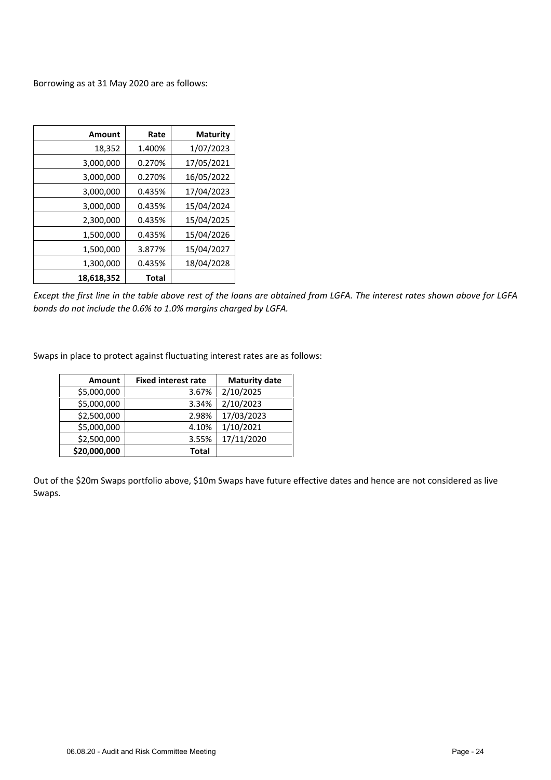Borrowing as at 31 May 2020 are as follows:

| <b>Amount</b> | Rate   | <b>Maturity</b> |
|---------------|--------|-----------------|
| 18,352        | 1.400% | 1/07/2023       |
| 3,000,000     | 0.270% | 17/05/2021      |
| 3,000,000     | 0.270% | 16/05/2022      |
| 3,000,000     | 0.435% | 17/04/2023      |
| 3,000,000     | 0.435% | 15/04/2024      |
| 2,300,000     | 0.435% | 15/04/2025      |
| 1,500,000     | 0.435% | 15/04/2026      |
| 1,500,000     | 3.877% | 15/04/2027      |
| 1,300,000     | 0.435% | 18/04/2028      |
| 18,618,352    | Total  |                 |

*Except the first line in the table above rest of the loans are obtained from LGFA. The interest rates shown above for LGFA bonds do not include the 0.6% to 1.0% margins charged by LGFA.* 

Swaps in place to protect against fluctuating interest rates are as follows:

| <b>Amount</b> | <b>Fixed interest rate</b> | <b>Maturity date</b> |
|---------------|----------------------------|----------------------|
| \$5,000,000   | 3.67%                      | 2/10/2025            |
| \$5,000,000   | 3.34%                      | 2/10/2023            |
| \$2,500,000   | 2.98%                      | 17/03/2023           |
| \$5,000,000   | 4.10%                      | 1/10/2021            |
| \$2,500,000   | 3.55%                      | 17/11/2020           |
| \$20,000,000  | <b>Total</b>               |                      |

Out of the \$20m Swaps portfolio above, \$10m Swaps have future effective dates and hence are not considered as live Swaps.